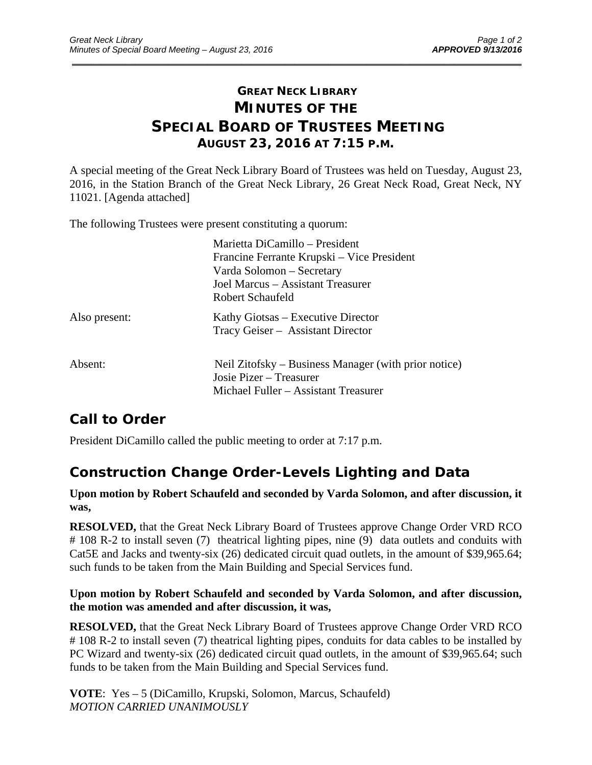### **GREAT NECK LIBRARY MINUTES OF THE SPECIAL BOARD OF TRUSTEES MEETING AUGUST 23, 2016 AT 7:15 P.M.**

\_\_\_\_\_\_\_\_\_\_\_\_\_\_\_\_\_\_\_\_\_\_\_\_\_\_\_\_\_\_\_\_\_\_\_\_\_\_\_\_\_\_\_\_\_\_\_\_\_\_\_\_\_\_\_\_\_\_\_\_\_\_\_\_\_\_\_\_\_\_\_\_\_\_\_\_\_\_\_\_\_\_\_\_\_\_\_\_\_\_\_\_\_

A special meeting of the Great Neck Library Board of Trustees was held on Tuesday, August 23, 2016, in the Station Branch of the Great Neck Library, 26 Great Neck Road, Great Neck, NY 11021. [Agenda attached]

The following Trustees were present constituting a quorum:

|               | Marietta DiCamillo - President                       |
|---------------|------------------------------------------------------|
|               | Francine Ferrante Krupski – Vice President           |
|               | Varda Solomon – Secretary                            |
|               | Joel Marcus - Assistant Treasurer                    |
|               | Robert Schaufeld                                     |
| Also present: | Kathy Giotsas – Executive Director                   |
|               | Tracy Geiser - Assistant Director                    |
| Absent:       | Neil Zitofsky – Business Manager (with prior notice) |
|               | Josie Pizer – Treasurer                              |
|               | Michael Fuller – Assistant Treasurer                 |

## **Call to Order**

President DiCamillo called the public meeting to order at 7:17 p.m.

### **Construction Change Order-Levels Lighting and Data**

#### **Upon motion by Robert Schaufeld and seconded by Varda Solomon, and after discussion, it was,**

**RESOLVED,** that the Great Neck Library Board of Trustees approve Change Order VRD RCO # 108 R-2 to install seven (7) theatrical lighting pipes, nine (9) data outlets and conduits with Cat5E and Jacks and twenty-six (26) dedicated circuit quad outlets, in the amount of \$39,965.64; such funds to be taken from the Main Building and Special Services fund.

#### **Upon motion by Robert Schaufeld and seconded by Varda Solomon, and after discussion, the motion was amended and after discussion, it was,**

**RESOLVED,** that the Great Neck Library Board of Trustees approve Change Order VRD RCO # 108 R-2 to install seven (7) theatrical lighting pipes, conduits for data cables to be installed by PC Wizard and twenty-six (26) dedicated circuit quad outlets, in the amount of \$39,965.64; such funds to be taken from the Main Building and Special Services fund.

**VOTE**: Yes – 5 (DiCamillo, Krupski, Solomon, Marcus, Schaufeld) *MOTION CARRIED UNANIMOUSLY*